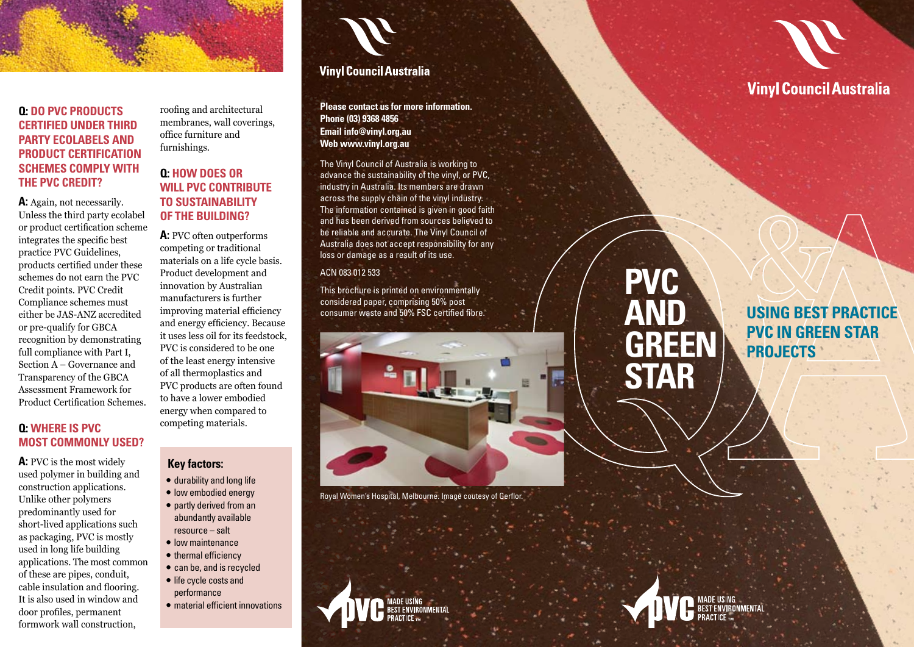# **Q:** DO PVC PRODUCTS **CERTIFIED UNDER THIRD party e colabels an d PRODUCT CERTIFICATION s chemes com ply with the PVC Cre dit?**

A: Again, not necessarily. Unless the third party ecolabel or product certification scheme integrates the specific best practice PVC Guidelines, products certified under these schemes do not earn the PVC Credit points. PVC Credit Compliance schemes must either be JAS-ANZ accredited or pre-qualify for GBCA recognition by demonstrating full compliance with Part I, Section A – Governance and Transparency of the GBCA Assessment Framework for Product Certification Schemes.

# **Q: Where is PVC MOST COMMONLY USED?**

**A:** PVC is the most widely used polymer in building and construction applications. Unlike other polymers predominantly used for short-lived applications such as packaging, PVC is mostly used in long life building applications. The most common of these are pipes, conduit, cable insulation and flooring. It is also used in window and door profiles, permanent formwork wall construction,

roofing and architectural membranes, wall coverings, office furniture and furnishings.

# **Q: How does or will PVC contribute to sustainability of the buil ding?**

**A:** PVC often outperforms competing or traditional materials on a life cycle basis. Product development and innovation by Australian manufacturers is further improving material efficiency and energy efficiency. Because it uses less oil for its feedstock, PVC is considered to be one of the least energy intensive of all thermoplastics and PVC products are often found to have a lower embodied energy when compared to competing materials.

### **Key factors:**

- 
- durability and long life low embodied energy partly derived from an abundantly available resource – salt
- 
- 
- low maintenance thermal efficiency can be, and is recycled life cycle costs and
- 
- performance
- material efficient innovations



# **Vinyl Council Australia**

**Please contact us for more information. Phone (03) 9368 4856 Email info@vinyl.org.au Web www.vinyl.org.au**

The Vinyl Council of Australia is working to advance the sustainability of the vinyl, or PVC, industry in Australia. Its members are drawn across the supply chain of the vinyl industry. The information contained is given in good faith and has been derived from sources believed to be reliable and accurate. The Vinyl Council of Australia does not accept responsibility for any loss or damage as a result of its use.

#### ACN 083 012 533

This brochure is printed on environmentally considered paper, comprising 50% post consumer waste and 50% FSC certified fibre.



Royal Women's Hospital, Melbourne. Image coutesy of Gerflor.



# **Vinyl Council Australia**

# **PV C AN D GREEN STAR**

**USING BEST PRACTICE PVC in Green Star PROJECT**